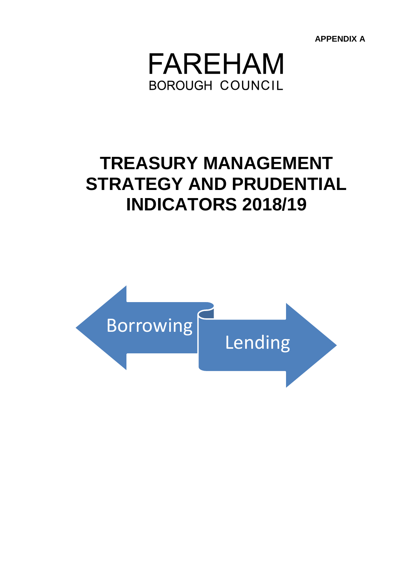**APPENDIX A**



# **TREASURY MANAGEMENT STRATEGY AND PRUDENTIAL INDICATORS 2018/19**

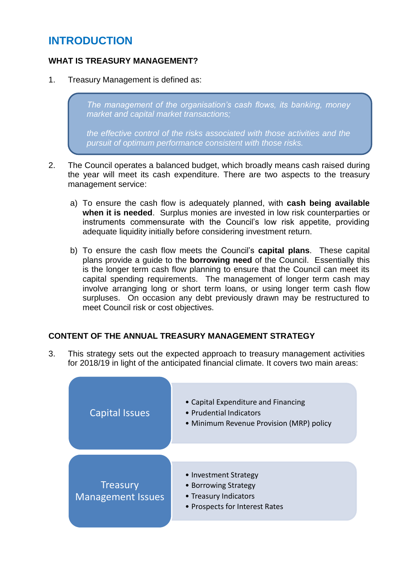# **INTRODUCTION**

## **WHAT IS TREASURY MANAGEMENT?**

1. Treasury Management is defined as:

*The management of the organisation's cash flows, its banking, money market and capital market transactions;*

*the effective control of the risks associated with those activities and the pursuit of optimum performance consistent with those risks.*

- 2. The Council operates a balanced budget, which broadly means cash raised during the year will meet its cash expenditure. There are two aspects to the treasury management service:
	- a) To ensure the cash flow is adequately planned, with **cash being available when it is needed**. Surplus monies are invested in low risk counterparties or instruments commensurate with the Council's low risk appetite, providing adequate liquidity initially before considering investment return.
	- b) To ensure the cash flow meets the Council's **capital plans**. These capital plans provide a guide to the **borrowing need** of the Council. Essentially this is the longer term cash flow planning to ensure that the Council can meet its capital spending requirements. The management of longer term cash may involve arranging long or short term loans, or using longer term cash flow surpluses. On occasion any debt previously drawn may be restructured to meet Council risk or cost objectives.

## **CONTENT OF THE ANNUAL TREASURY MANAGEMENT STRATEGY**

3. This strategy sets out the expected approach to treasury management activities for 2018/19 in light of the anticipated financial climate. It covers two main areas:

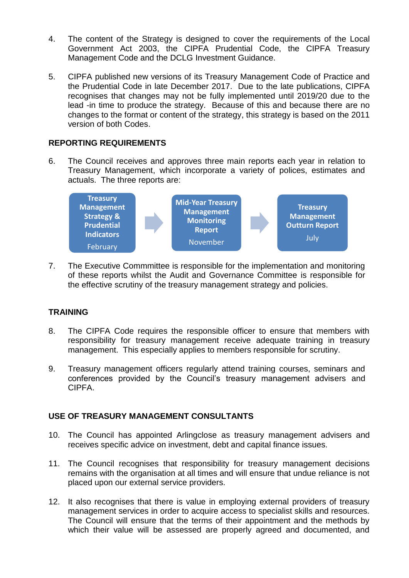- 4. The content of the Strategy is designed to cover the requirements of the Local Government Act 2003, the CIPFA Prudential Code, the CIPFA Treasury Management Code and the DCLG Investment Guidance.
- 5. CIPFA published new versions of its Treasury Management Code of Practice and the Prudential Code in late December 2017. Due to the late publications, CIPFA recognises that changes may not be fully implemented until 2019/20 due to the lead -in time to produce the strategy. Because of this and because there are no changes to the format or content of the strategy, this strategy is based on the 2011 version of both Codes.

#### **REPORTING REQUIREMENTS**

6. The Council receives and approves three main reports each year in relation to Treasury Management, which incorporate a variety of polices, estimates and actuals. The three reports are:



7. The Executive Commmittee is responsible for the implementation and monitoring of these reports whilst the Audit and Governance Committee is responsible for the effective scrutiny of the treasury management strategy and policies.

## **TRAINING**

- 8. The CIPFA Code requires the responsible officer to ensure that members with responsibility for treasury management receive adequate training in treasury management. This especially applies to members responsible for scrutiny.
- 9. Treasury management officers regularly attend training courses, seminars and conferences provided by the Council's treasury management advisers and CIPFA.

#### **USE OF TREASURY MANAGEMENT CONSULTANTS**

- 10. The Council has appointed Arlingclose as treasury management advisers and receives specific advice on investment, debt and capital finance issues.
- 11. The Council recognises that responsibility for treasury management decisions remains with the organisation at all times and will ensure that undue reliance is not placed upon our external service providers.
- 12. It also recognises that there is value in employing external providers of treasury management services in order to acquire access to specialist skills and resources. The Council will ensure that the terms of their appointment and the methods by which their value will be assessed are properly agreed and documented, and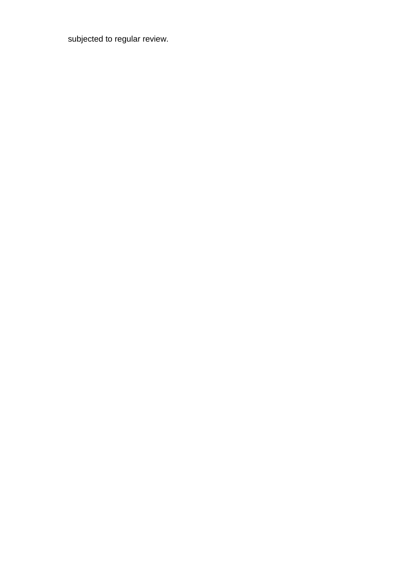subjected to regular review.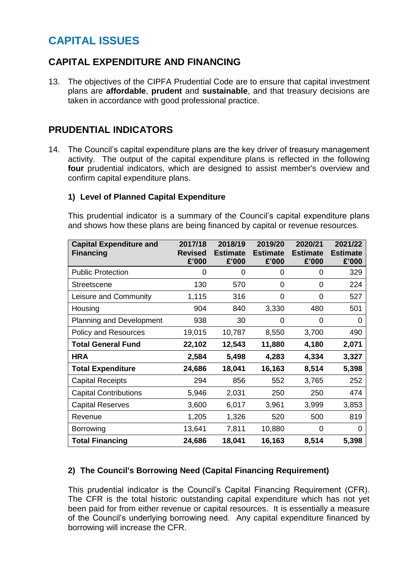# **CAPITAL ISSUES**

## **CAPITAL EXPENDITURE AND FINANCING**

13. The objectives of the CIPFA Prudential Code are to ensure that capital investment plans are **affordable**, **prudent** and **sustainable**, and that treasury decisions are taken in accordance with good professional practice.

## **PRUDENTIAL INDICATORS**

14. The Council's capital expenditure plans are the key driver of treasury management activity. The output of the capital expenditure plans is reflected in the following **four** prudential indicators, which are designed to assist member's overview and confirm capital expenditure plans.

#### **1) Level of Planned Capital Expenditure**

This prudential indicator is a summary of the Council's capital expenditure plans and shows how these plans are being financed by capital or revenue resources.

| <b>Capital Expenditure and</b><br><b>Financing</b> | 2017/18<br><b>Revised</b><br>£'000 | 2018/19<br><b>Estimate</b><br>£'000 | 2019/20<br><b>Estimate</b><br>£'000 | 2020/21<br><b>Estimate</b><br>£'000 | 2021/22<br><b>Estimate</b><br>£'000 |
|----------------------------------------------------|------------------------------------|-------------------------------------|-------------------------------------|-------------------------------------|-------------------------------------|
| <b>Public Protection</b>                           | 0                                  | 0                                   | 0                                   | 0                                   | 329                                 |
| <b>Streetscene</b>                                 | 130                                | 570                                 | 0                                   | 0                                   | 224                                 |
| Leisure and Community                              | 1,115                              | 316                                 | 0                                   | $\Omega$                            | 527                                 |
| Housing                                            | 904                                | 840                                 | 3,330                               | 480                                 | 501                                 |
| <b>Planning and Development</b>                    | 938                                | 30                                  | 0                                   | 0                                   | 0                                   |
| <b>Policy and Resources</b>                        | 19,015                             | 10,787                              | 8,550                               | 3,700                               | 490                                 |
| <b>Total General Fund</b>                          | 22,102                             | 12,543                              | 11,880                              | 4,180                               | 2,071                               |
| <b>HRA</b>                                         | 2,584                              | 5,498                               | 4,283                               | 4,334                               | 3,327                               |
| <b>Total Expenditure</b>                           | 24,686                             | 18,041                              | 16,163                              | 8,514                               | 5,398                               |
| <b>Capital Receipts</b>                            | 294                                | 856                                 | 552                                 | 3,765                               | 252                                 |
| <b>Capital Contributions</b>                       | 5,946                              | 2,031                               | 250                                 | 250                                 | 474                                 |
| <b>Capital Reserves</b>                            | 3,600                              | 6,017                               | 3,961                               | 3,999                               | 3,853                               |
| Revenue                                            | 1,205                              | 1,326                               | 520                                 | 500                                 | 819                                 |
| Borrowing                                          | 13,641                             | 7,811                               | 10,880                              | 0                                   | 0                                   |
| <b>Total Financing</b>                             | 24,686                             | 18,041                              | 16,163                              | 8,514                               | 5,398                               |

## **2) The Council's Borrowing Need (Capital Financing Requirement)**

This prudential indicator is the Council's Capital Financing Requirement (CFR). The CFR is the total historic outstanding capital expenditure which has not yet been paid for from either revenue or capital resources. It is essentially a measure of the Council's underlying borrowing need. Any capital expenditure financed by borrowing will increase the CFR.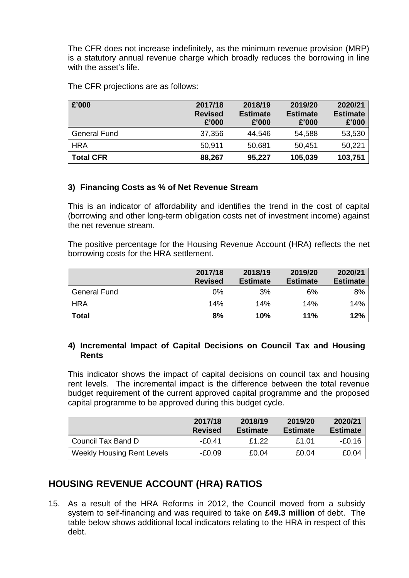The CFR does not increase indefinitely, as the minimum revenue provision (MRP) is a statutory annual revenue charge which broadly reduces the borrowing in line with the asset's life.

The CFR projections are as follows:

| £'000               | 2017/18<br><b>Revised</b><br>£'000 | 2018/19<br><b>Estimate</b><br>£'000 | 2019/20<br><b>Estimate</b><br>£'000 | 2020/21<br><b>Estimate</b><br>£'000 |
|---------------------|------------------------------------|-------------------------------------|-------------------------------------|-------------------------------------|
| <b>General Fund</b> | 37,356                             | 44,546                              | 54,588                              | 53,530                              |
| <b>HRA</b>          | 50,911                             | 50,681                              | 50,451                              | 50,221                              |
| <b>Total CFR</b>    | 88,267                             | 95,227                              | 105,039                             | 103,751                             |

#### **3) Financing Costs as % of Net Revenue Stream**

This is an indicator of affordability and identifies the trend in the cost of capital (borrowing and other long-term obligation costs net of investment income) against the net revenue stream.

The positive percentage for the Housing Revenue Account (HRA) reflects the net borrowing costs for the HRA settlement.

|                     | 2017/18<br><b>Revised</b> | 2018/19<br><b>Estimate</b> | 2019/20<br><b>Estimate</b> | 2020/21<br><b>Estimate</b> |
|---------------------|---------------------------|----------------------------|----------------------------|----------------------------|
| <b>General Fund</b> | 0%                        | 3%                         | 6%                         | 8%                         |
| <b>HRA</b>          | 14%                       | 14%                        | 14%                        | 14%                        |
| <b>Total</b>        | 8%                        | 10%                        | 11%                        | 12%                        |

#### **4) Incremental Impact of Capital Decisions on Council Tax and Housing Rents**

This indicator shows the impact of capital decisions on council tax and housing rent levels. The incremental impact is the difference between the total revenue budget requirement of the current approved capital programme and the proposed capital programme to be approved during this budget cycle.

|                                   | 2017/18<br><b>Revised</b> | 2018/19<br><b>Estimate</b> | 2019/20<br><b>Estimate</b> | 2020/21<br><b>Estimate</b> |
|-----------------------------------|---------------------------|----------------------------|----------------------------|----------------------------|
| Council Tax Band D                | $-F0.41$                  | £1.22                      | £1.01                      | -£0.16                     |
| <b>Weekly Housing Rent Levels</b> | -£0.09                    | £0.04                      | £0.04                      | £0.04                      |

# **HOUSING REVENUE ACCOUNT (HRA) RATIOS**

15. As a result of the HRA Reforms in 2012, the Council moved from a subsidy system to self-financing and was required to take on **£49.3 million** of debt. The table below shows additional local indicators relating to the HRA in respect of this debt.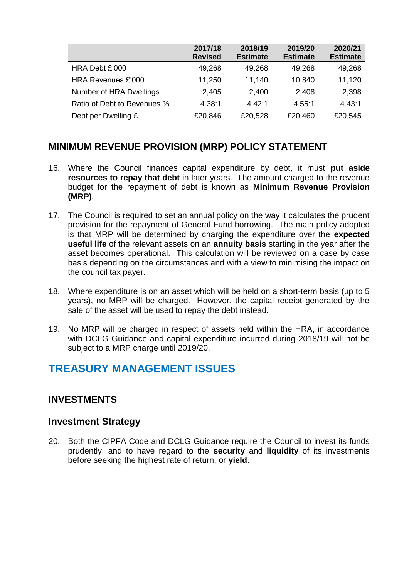|                             | 2017/18<br><b>Revised</b> | 2018/19<br><b>Estimate</b> | 2019/20<br><b>Estimate</b> | 2020/21<br><b>Estimate</b> |
|-----------------------------|---------------------------|----------------------------|----------------------------|----------------------------|
| HRA Debt £'000              | 49,268                    | 49,268                     | 49,268                     | 49,268                     |
| HRA Revenues £'000          | 11,250                    | 11,140                     | 10,840                     | 11,120                     |
| Number of HRA Dwellings     | 2,405                     | 2,400                      | 2,408                      | 2,398                      |
| Ratio of Debt to Revenues % | 4.38:1                    | 4.42:1                     | 4.55:1                     | 4.43:1                     |
| Debt per Dwelling £         | £20,846                   | £20,528                    | £20,460                    | £20,545                    |

## **MINIMUM REVENUE PROVISION (MRP) POLICY STATEMENT**

- 16. Where the Council finances capital expenditure by debt, it must **put aside resources to repay that debt** in later years. The amount charged to the revenue budget for the repayment of debt is known as **Minimum Revenue Provision (MRP)**.
- 17. The Council is required to set an annual policy on the way it calculates the prudent provision for the repayment of General Fund borrowing. The main policy adopted is that MRP will be determined by charging the expenditure over the **expected useful life** of the relevant assets on an **annuity basis** starting in the year after the asset becomes operational. This calculation will be reviewed on a case by case basis depending on the circumstances and with a view to minimising the impact on the council tax payer.
- 18. Where expenditure is on an asset which will be held on a short-term basis (up to 5 years), no MRP will be charged. However, the capital receipt generated by the sale of the asset will be used to repay the debt instead.
- 19. No MRP will be charged in respect of assets held within the HRA, in accordance with DCLG Guidance and capital expenditure incurred during 2018/19 will not be subject to a MRP charge until 2019/20.

# **TREASURY MANAGEMENT ISSUES**

## **INVESTMENTS**

## **Investment Strategy**

20. Both the CIPFA Code and DCLG Guidance require the Council to invest its funds prudently, and to have regard to the **security** and **liquidity** of its investments before seeking the highest rate of return, or **yield**.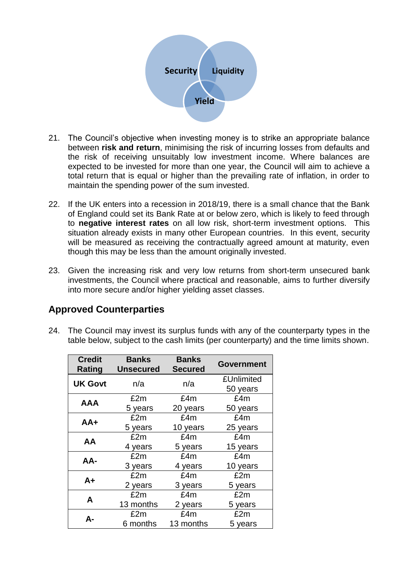

- 21. The Council's objective when investing money is to strike an appropriate balance between **risk and return**, minimising the risk of incurring losses from defaults and the risk of receiving unsuitably low investment income. Where balances are expected to be invested for more than one year, the Council will aim to achieve a total return that is equal or higher than the prevailing rate of inflation, in order to maintain the spending power of the sum invested.
- 22. If the UK enters into a recession in 2018/19, there is a small chance that the Bank of England could set its Bank Rate at or below zero, which is likely to feed through to **negative interest rates** on all low risk, short-term investment options. This situation already exists in many other European countries. In this event, security will be measured as receiving the contractually agreed amount at maturity, even though this may be less than the amount originally invested.
- 23. Given the increasing risk and very low returns from short-term unsecured bank investments, the Council where practical and reasonable, aims to further diversify into more secure and/or higher yielding asset classes.

## **Approved Counterparties**

24. The Council may invest its surplus funds with any of the counterparty types in the table below, subject to the cash limits (per counterparty) and the time limits shown.

| <b>Credit</b><br><b>Rating</b> | <b>Banks</b><br><b>Unsecured</b> | <b>Banks</b><br><b>Secured</b> | <b>Government</b> |
|--------------------------------|----------------------------------|--------------------------------|-------------------|
| <b>UK Govt</b>                 | n/a                              | n/a                            | £Unlimited        |
|                                |                                  |                                | 50 years          |
| AAA                            | £2m                              | £4m                            | £4m               |
|                                | 5 years                          | 20 years                       | 50 years          |
| AA+                            | £2m                              | £4m                            | £4m               |
|                                | 5 years                          | 10 years                       | 25 years          |
| AA                             | £2m                              | £4m                            | £4m               |
|                                | 4 years                          | 5 years                        | 15 years          |
| AA-                            | £2m                              | £4m                            | £4m               |
|                                | 3 years                          | 4 years                        | 10 years          |
| $A+$                           | £2m                              | £4m                            | £2m               |
|                                | 2 years                          | 3 years                        | 5 years           |
| A                              | £2m                              | £4m                            | £2m               |
|                                | 13 months                        | 2 years                        | 5 years           |
| А-                             | £2m                              | £4m                            | £2m               |
|                                | 6 months                         | 13 months                      | 5 years           |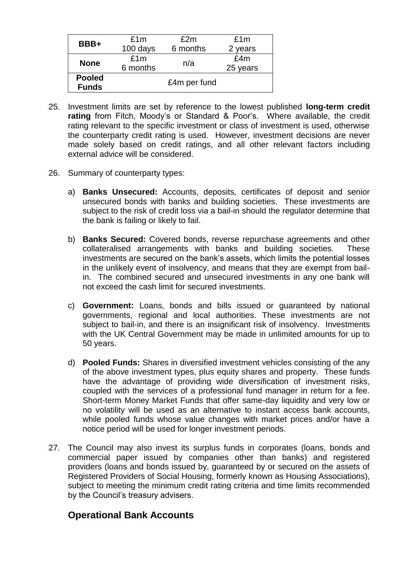| BBB+                           | £1m          | £2m      | £1m      |  |  |
|--------------------------------|--------------|----------|----------|--|--|
|                                | 100 days     | 6 months | 2 years  |  |  |
| £1m<br><b>None</b><br>6 months |              |          | £4m      |  |  |
|                                |              | n/a      | 25 years |  |  |
| <b>Pooled</b>                  |              |          |          |  |  |
| <b>Funds</b>                   | £4m per fund |          |          |  |  |

- 25. Investment limits are set by reference to the lowest published **long-term credit rating** from Fitch, Moody's or Standard & Poor's. Where available, the credit rating relevant to the specific investment or class of investment is used, otherwise the counterparty credit rating is used. However, investment decisions are never made solely based on credit ratings, and all other relevant factors including external advice will be considered.
- 26. Summary of counterparty types:
	- a) **Banks Unsecured:** Accounts, deposits, certificates of deposit and senior unsecured bonds with banks and building societies. These investments are subject to the risk of credit loss via a bail-in should the regulator determine that the bank is failing or likely to fail.
	- b) **Banks Secured:** Covered bonds, reverse repurchase agreements and other collateralised arrangements with banks and building societies. These investments are secured on the bank's assets, which limits the potential losses in the unlikely event of insolvency, and means that they are exempt from bailin. The combined secured and unsecured investments in any one bank will not exceed the cash limit for secured investments.
	- c) **Government:** Loans, bonds and bills issued or guaranteed by national governments, regional and local authorities. These investments are not subject to bail-in, and there is an insignificant risk of insolvency. Investments with the UK Central Government may be made in unlimited amounts for up to 50 years.
	- d) **Pooled Funds:** Shares in diversified investment vehicles consisting of the any of the above investment types, plus equity shares and property. These funds have the advantage of providing wide diversification of investment risks, coupled with the services of a professional fund manager in return for a fee. Short-term Money Market Funds that offer same-day liquidity and very low or no volatility will be used as an alternative to instant access bank accounts, while pooled funds whose value changes with market prices and/or have a notice period will be used for longer investment periods.
- 27. The Council may also invest its surplus funds in corporates (loans, bonds and commercial paper issued by companies other than banks) and registered providers (loans and bonds issued by, guaranteed by or secured on the assets of Registered Providers of Social Housing, formerly known as Housing Associations), subject to meeting the minimum credit rating criteria and time limits recommended by the Council's treasury advisers.

# **Operational Bank Accounts**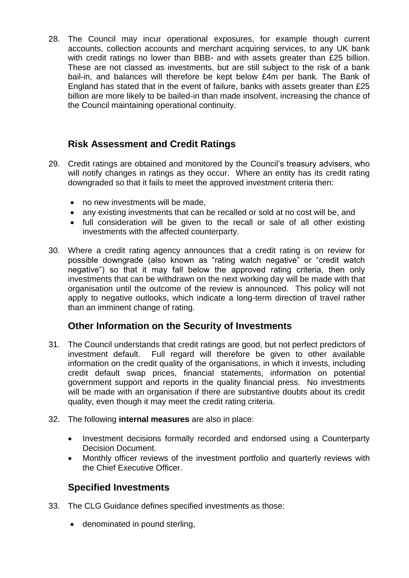28. The Council may incur operational exposures, for example though current accounts, collection accounts and merchant acquiring services, to any UK bank with credit ratings no lower than BBB- and with assets greater than £25 billion. These are not classed as investments, but are still subject to the risk of a bank bail-in, and balances will therefore be kept below £4m per bank. The Bank of England has stated that in the event of failure, banks with assets greater than £25 billion are more likely to be bailed-in than made insolvent, increasing the chance of the Council maintaining operational continuity.

## **Risk Assessment and Credit Ratings**

- 29. Credit ratings are obtained and monitored by the Council's treasury advisers, who will notify changes in ratings as they occur. Where an entity has its credit rating downgraded so that it fails to meet the approved investment criteria then:
	- no new investments will be made.
	- any existing investments that can be recalled or sold at no cost will be, and
	- full consideration will be given to the recall or sale of all other existing investments with the affected counterparty.
- 30. Where a credit rating agency announces that a credit rating is on review for possible downgrade (also known as "rating watch negative" or "credit watch negative") so that it may fall below the approved rating criteria, then only investments that can be withdrawn on the next working day will be made with that organisation until the outcome of the review is announced. This policy will not apply to negative outlooks, which indicate a long-term direction of travel rather than an imminent change of rating.

## **Other Information on the Security of Investments**

- 31. The Council understands that credit ratings are good, but not perfect predictors of investment default. Full regard will therefore be given to other available information on the credit quality of the organisations, in which it invests, including credit default swap prices, financial statements, information on potential government support and reports in the quality financial press. No investments will be made with an organisation if there are substantive doubts about its credit quality, even though it may meet the credit rating criteria.
- 32. The following **internal measures** are also in place:
	- Investment decisions formally recorded and endorsed using a Counterparty Decision Document.
	- Monthly officer reviews of the investment portfolio and quarterly reviews with the Chief Executive Officer.

## **Specified Investments**

- 33. The CLG Guidance defines specified investments as those:
	- denominated in pound sterling,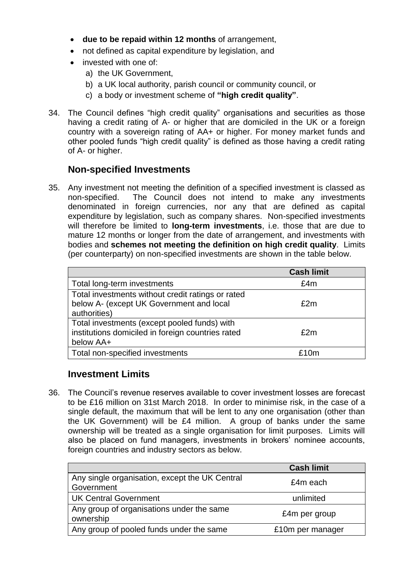- **due to be repaid within 12 months** of arrangement,
- not defined as capital expenditure by legislation, and
- invested with one of:
	- a) the UK Government,
	- b) a UK local authority, parish council or community council, or
	- c) a body or investment scheme of **"high credit quality"**.
- 34. The Council defines "high credit quality" organisations and securities as those having a credit rating of A- or higher that are domiciled in the UK or a foreign country with a sovereign rating of AA+ or higher. For money market funds and other pooled funds "high credit quality" is defined as those having a credit rating of A- or higher.

## **Non-specified Investments**

35. Any investment not meeting the definition of a specified investment is classed as non-specified. The Council does not intend to make any investments denominated in foreign currencies, nor any that are defined as capital expenditure by legislation, such as company shares. Non-specified investments will therefore be limited to **long-term investments**, i.e. those that are due to mature 12 months or longer from the date of arrangement, and investments with bodies and **schemes not meeting the definition on high credit quality**. Limits (per counterparty) on non-specified investments are shown in the table below.

|                                                   | <b>Cash limit</b> |
|---------------------------------------------------|-------------------|
| Total long-term investments                       | £4m               |
| Total investments without credit ratings or rated |                   |
| below A- (except UK Government and local          | £2m               |
| authorities)                                      |                   |
| Total investments (except pooled funds) with      |                   |
| institutions domiciled in foreign countries rated | £2m               |
| below AA+                                         |                   |
| Total non-specified investments                   | f10m              |

## **Investment Limits**

36. The Council's revenue reserves available to cover investment losses are forecast to be £16 million on 31st March 2018. In order to minimise risk, in the case of a single default, the maximum that will be lent to any one organisation (other than the UK Government) will be £4 million. A group of banks under the same ownership will be treated as a single organisation for limit purposes. Limits will also be placed on fund managers, investments in brokers' nominee accounts, foreign countries and industry sectors as below.

|                                                              | <b>Cash limit</b> |
|--------------------------------------------------------------|-------------------|
| Any single organisation, except the UK Central<br>Government | £4m each          |
| <b>UK Central Government</b>                                 | unlimited         |
| Any group of organisations under the same<br>ownership       | £4m per group     |
| Any group of pooled funds under the same                     | £10m per manager  |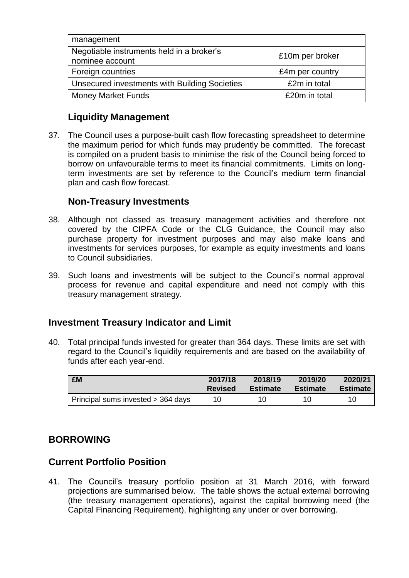| management                                                   |                 |
|--------------------------------------------------------------|-----------------|
| Negotiable instruments held in a broker's<br>nominee account | £10m per broker |
| Foreign countries                                            | £4m per country |
| Unsecured investments with Building Societies                | £2m in total    |
| <b>Money Market Funds</b>                                    | £20m in total   |

## **Liquidity Management**

37. The Council uses a purpose-built cash flow forecasting spreadsheet to determine the maximum period for which funds may prudently be committed. The forecast is compiled on a prudent basis to minimise the risk of the Council being forced to borrow on unfavourable terms to meet its financial commitments. Limits on longterm investments are set by reference to the Council's medium term financial plan and cash flow forecast.

## **Non-Treasury Investments**

- 38. Although not classed as treasury management activities and therefore not covered by the CIPFA Code or the CLG Guidance, the Council may also purchase property for investment purposes and may also make loans and investments for services purposes, for example as equity investments and loans to Council subsidiaries.
- 39. Such loans and investments will be subject to the Council's normal approval process for revenue and capital expenditure and need not comply with this treasury management strategy.

## **Investment Treasury Indicator and Limit**

40. Total principal funds invested for greater than 364 days. These limits are set with regard to the Council's liquidity requirements and are based on the availability of funds after each year-end.

| £M                                 | 2017/18        | 2018/19         | 2019/20         | 2020/21         |
|------------------------------------|----------------|-----------------|-----------------|-----------------|
|                                    | <b>Revised</b> | <b>Estimate</b> | <b>Estimate</b> | <b>Estimate</b> |
| Principal sums invested > 364 days | 10             | 10.             | 10              | 10              |

# **BORROWING**

## **Current Portfolio Position**

41. The Council's treasury portfolio position at 31 March 2016, with forward projections are summarised below. The table shows the actual external borrowing (the treasury management operations), against the capital borrowing need (the Capital Financing Requirement), highlighting any under or over borrowing.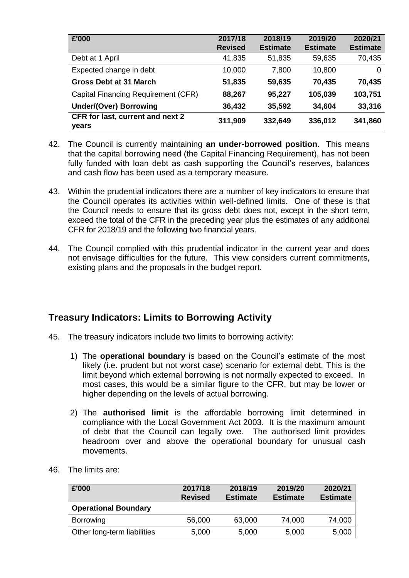| £'000                                            | 2017/18<br><b>Revised</b> | 2018/19<br><b>Estimate</b> | 2019/20<br><b>Estimate</b> | 2020/21<br><b>Estimate</b> |
|--------------------------------------------------|---------------------------|----------------------------|----------------------------|----------------------------|
| Debt at 1 April                                  | 41,835                    | 51,835                     | 59,635                     | 70,435                     |
| Expected change in debt                          | 10,000                    | 7,800                      | 10,800                     | 0                          |
| <b>Gross Debt at 31 March</b>                    | 51,835                    | 59,635                     | 70,435                     | 70,435                     |
| Capital Financing Requirement (CFR)              | 88,267                    | 95,227                     | 105,039                    | 103,751                    |
| <b>Under/(Over) Borrowing</b>                    | 36,432                    | 35,592                     | 34,604                     | 33,316                     |
| <b>CFR</b> for last, current and next 2<br>years | 311,909                   | 332,649                    | 336,012                    | 341,860                    |

- 42. The Council is currently maintaining **an under-borrowed position**. This means that the capital borrowing need (the Capital Financing Requirement), has not been fully funded with loan debt as cash supporting the Council's reserves, balances and cash flow has been used as a temporary measure.
- 43. Within the prudential indicators there are a number of key indicators to ensure that the Council operates its activities within well-defined limits. One of these is that the Council needs to ensure that its gross debt does not, except in the short term, exceed the total of the CFR in the preceding year plus the estimates of any additional CFR for 2018/19 and the following two financial years.
- 44. The Council complied with this prudential indicator in the current year and does not envisage difficulties for the future. This view considers current commitments, existing plans and the proposals in the budget report.

## **Treasury Indicators: Limits to Borrowing Activity**

- 45. The treasury indicators include two limits to borrowing activity:
	- 1) The **operational boundary** is based on the Council's estimate of the most likely (i.e. prudent but not worst case) scenario for external debt. This is the limit beyond which external borrowing is not normally expected to exceed. In most cases, this would be a similar figure to the CFR, but may be lower or higher depending on the levels of actual borrowing.
	- 2) The **authorised limit** is the affordable borrowing limit determined in compliance with the Local Government Act 2003. It is the maximum amount of debt that the Council can legally owe. The authorised limit provides headroom over and above the operational boundary for unusual cash movements.
	- **£'000 2017/18 Revised 2018/19 Estimate 2019/20 Estimate 2020/21 Estimate Operational Boundary** Borrowing 56,000 63,000 74,000 74,000 Other long-term liabilities 5,000 5,000 5,000 5,000
- 46. The limits are: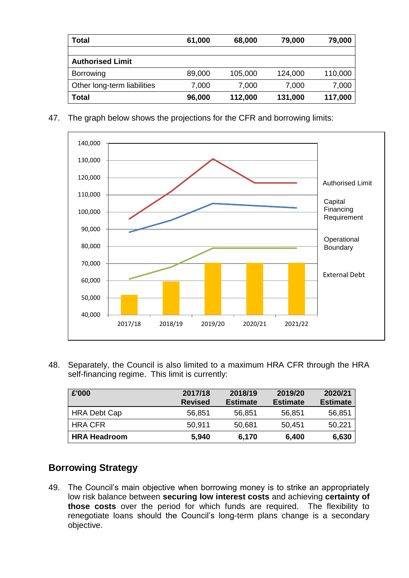| Total                       | 61,000 | 68,000  | 79,000  | 79,000  |
|-----------------------------|--------|---------|---------|---------|
|                             |        |         |         |         |
| <b>Authorised Limit</b>     |        |         |         |         |
| Borrowing                   | 89,000 | 105,000 | 124,000 | 110,000 |
| Other long-term liabilities | 7,000  | 7,000   | 7,000   | 7,000   |
| <b>Total</b>                | 96,000 | 112,000 | 131,000 | 117,000 |

47. The graph below shows the projections for the CFR and borrowing limits:



48. Separately, the Council is also limited to a maximum HRA CFR through the HRA self-financing regime. This limit is currently:

| £'000               | 2017/18<br><b>Revised</b> | 2018/19<br><b>Estimate</b> | 2019/20<br><b>Estimate</b> | 2020/21<br><b>Estimate</b> |
|---------------------|---------------------------|----------------------------|----------------------------|----------------------------|
| <b>HRA Debt Cap</b> | 56,851                    | 56,851                     | 56,851                     | 56,851                     |
| <b>HRA CFR</b>      | 50,911                    | 50,681                     | 50,451                     | 50,221                     |
| <b>HRA Headroom</b> | 5,940                     | 6,170                      | 6,400                      | 6,630                      |

## **Borrowing Strategy**

49. The Council's main objective when borrowing money is to strike an appropriately low risk balance between **securing low interest costs** and achieving **certainty of those costs** over the period for which funds are required. The flexibility to renegotiate loans should the Council's long-term plans change is a secondary objective.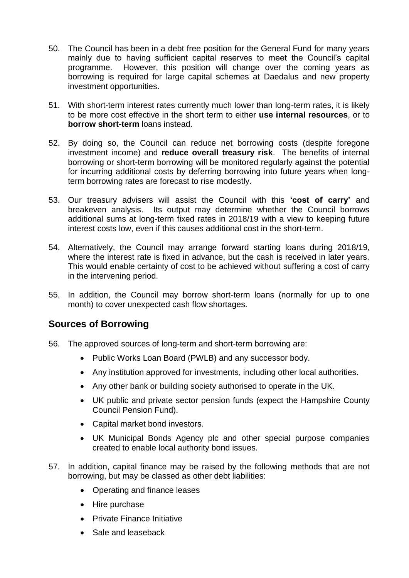- 50. The Council has been in a debt free position for the General Fund for many years mainly due to having sufficient capital reserves to meet the Council's capital programme. However, this position will change over the coming years as borrowing is required for large capital schemes at Daedalus and new property investment opportunities.
- 51. With short-term interest rates currently much lower than long-term rates, it is likely to be more cost effective in the short term to either **use internal resources**, or to **borrow short-term** loans instead.
- 52. By doing so, the Council can reduce net borrowing costs (despite foregone investment income) and **reduce overall treasury risk**. The benefits of internal borrowing or short-term borrowing will be monitored regularly against the potential for incurring additional costs by deferring borrowing into future years when longterm borrowing rates are forecast to rise modestly.
- 53. Our treasury advisers will assist the Council with this **'cost of carry'** and breakeven analysis. Its output may determine whether the Council borrows additional sums at long-term fixed rates in 2018/19 with a view to keeping future interest costs low, even if this causes additional cost in the short-term.
- 54. Alternatively, the Council may arrange forward starting loans during 2018/19, where the interest rate is fixed in advance, but the cash is received in later years. This would enable certainty of cost to be achieved without suffering a cost of carry in the intervening period.
- 55. In addition, the Council may borrow short-term loans (normally for up to one month) to cover unexpected cash flow shortages.

## **Sources of Borrowing**

- 56. The approved sources of long-term and short-term borrowing are:
	- Public Works Loan Board (PWLB) and any successor body.
	- Any institution approved for investments, including other local authorities.
	- Any other bank or building society authorised to operate in the UK.
	- UK public and private sector pension funds (expect the Hampshire County Council Pension Fund).
	- Capital market bond investors.
	- UK Municipal Bonds Agency plc and other special purpose companies created to enable local authority bond issues.
- 57. In addition, capital finance may be raised by the following methods that are not borrowing, but may be classed as other debt liabilities:
	- Operating and finance leases
	- Hire purchase
	- Private Finance Initiative
	- Sale and leaseback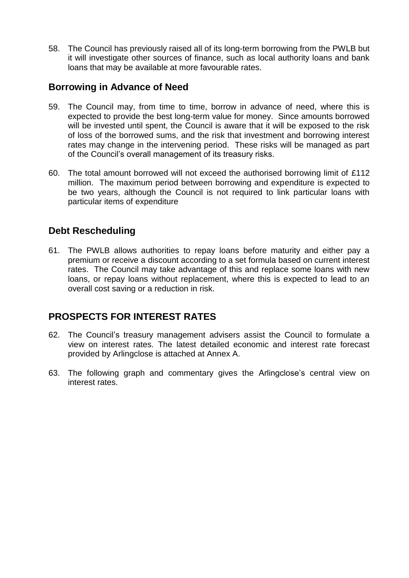58. The Council has previously raised all of its long-term borrowing from the PWLB but it will investigate other sources of finance, such as local authority loans and bank loans that may be available at more favourable rates.

## **Borrowing in Advance of Need**

- 59. The Council may, from time to time, borrow in advance of need, where this is expected to provide the best long-term value for money. Since amounts borrowed will be invested until spent, the Council is aware that it will be exposed to the risk of loss of the borrowed sums, and the risk that investment and borrowing interest rates may change in the intervening period. These risks will be managed as part of the Council's overall management of its treasury risks.
- 60. The total amount borrowed will not exceed the authorised borrowing limit of £112 million. The maximum period between borrowing and expenditure is expected to be two years, although the Council is not required to link particular loans with particular items of expenditure

## **Debt Rescheduling**

61. The PWLB allows authorities to repay loans before maturity and either pay a premium or receive a discount according to a set formula based on current interest rates. The Council may take advantage of this and replace some loans with new loans, or repay loans without replacement, where this is expected to lead to an overall cost saving or a reduction in risk.

# **PROSPECTS FOR INTEREST RATES**

- 62. The Council's treasury management advisers assist the Council to formulate a view on interest rates. The latest detailed economic and interest rate forecast provided by Arlingclose is attached at Annex A.
- 63. The following graph and commentary gives the Arlingclose's central view on interest rates.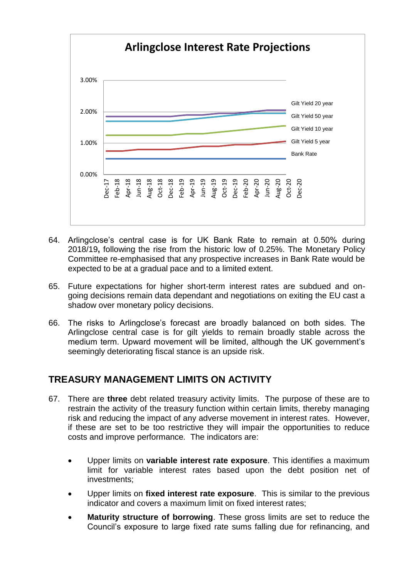

- 64. Arlingclose's central case is for UK Bank Rate to remain at 0.50% during 2018/19**,** following the rise from the historic low of 0.25%. The Monetary Policy Committee re-emphasised that any prospective increases in Bank Rate would be expected to be at a gradual pace and to a limited extent.
- 65. Future expectations for higher short-term interest rates are subdued and ongoing decisions remain data dependant and negotiations on exiting the EU cast a shadow over monetary policy decisions.
- 66. The risks to Arlingclose's forecast are broadly balanced on both sides. The Arlingclose central case is for gilt yields to remain broadly stable across the medium term. Upward movement will be limited, although the UK government's seemingly deteriorating fiscal stance is an upside risk.

## **TREASURY MANAGEMENT LIMITS ON ACTIVITY**

- 67. There are **three** debt related treasury activity limits. The purpose of these are to restrain the activity of the treasury function within certain limits, thereby managing risk and reducing the impact of any adverse movement in interest rates. However, if these are set to be too restrictive they will impair the opportunities to reduce costs and improve performance*.* The indicators are:
	- Upper limits on **variable interest rate exposure**. This identifies a maximum limit for variable interest rates based upon the debt position net of investments;
	- Upper limits on **fixed interest rate exposure**. This is similar to the previous indicator and covers a maximum limit on fixed interest rates;
	- **Maturity structure of borrowing**. These gross limits are set to reduce the Council's exposure to large fixed rate sums falling due for refinancing, and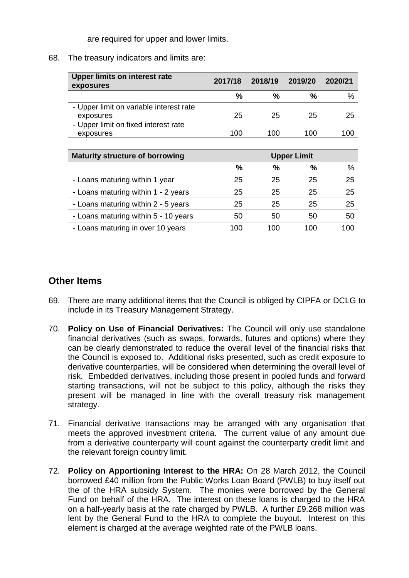are required for upper and lower limits.

#### 68. The treasury indicators and limits are:

| <b>Upper limits on interest rate</b><br>exposures | 2017/18 | 2018/19            | 2019/20 | 2020/21 |
|---------------------------------------------------|---------|--------------------|---------|---------|
|                                                   | %       | $\frac{9}{6}$      | ℅       | %       |
| - Upper limit on variable interest rate           |         |                    |         |         |
| exposures                                         | 25      | 25                 | 25      | 25      |
| - Upper limit on fixed interest rate              |         |                    |         |         |
| exposures                                         | 100     | 100                | 100     | 100     |
|                                                   |         |                    |         |         |
| <b>Maturity structure of borrowing</b>            |         | <b>Upper Limit</b> |         |         |
|                                                   | %       | %                  | ℅       | $\%$    |
| - Loans maturing within 1 year                    | 25      | 25                 | 25      | 25      |
| - Loans maturing within 1 - 2 years               | 25      | 25                 | 25      | 25      |
| - Loans maturing within 2 - 5 years               | 25      | 25                 | 25      | 25      |
| - Loans maturing within 5 - 10 years              | 50      | 50                 | 50      | 50      |
| - Loans maturing in over 10 years                 | 100     | 100                | 100     | 100     |

## **Other Items**

- 69. There are many additional items that the Council is obliged by CIPFA or DCLG to include in its Treasury Management Strategy.
- 70. **Policy on Use of Financial Derivatives:** The Council will only use standalone financial derivatives (such as swaps, forwards, futures and options) where they can be clearly demonstrated to reduce the overall level of the financial risks that the Council is exposed to. Additional risks presented, such as credit exposure to derivative counterparties, will be considered when determining the overall level of risk. Embedded derivatives, including those present in pooled funds and forward starting transactions, will not be subject to this policy, although the risks they present will be managed in line with the overall treasury risk management strategy.
- 71. Financial derivative transactions may be arranged with any organisation that meets the approved investment criteria. The current value of any amount due from a derivative counterparty will count against the counterparty credit limit and the relevant foreign country limit.
- 72. **Policy on Apportioning Interest to the HRA:** On 28 March 2012, the Council borrowed £40 million from the Public Works Loan Board (PWLB) to buy itself out the of the HRA subsidy System. The monies were borrowed by the General Fund on behalf of the HRA. The interest on these loans is charged to the HRA on a half-yearly basis at the rate charged by PWLB. A further £9.268 million was lent by the General Fund to the HRA to complete the buyout. Interest on this element is charged at the average weighted rate of the PWLB loans.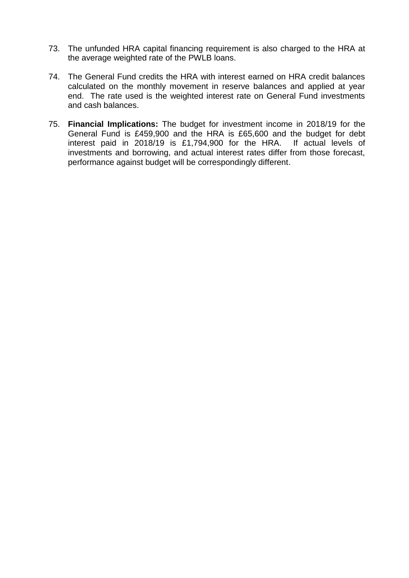- 73. The unfunded HRA capital financing requirement is also charged to the HRA at the average weighted rate of the PWLB loans.
- 74. The General Fund credits the HRA with interest earned on HRA credit balances calculated on the monthly movement in reserve balances and applied at year end. The rate used is the weighted interest rate on General Fund investments and cash balances.
- 75. **Financial Implications:** The budget for investment income in 2018/19 for the General Fund is £459,900 and the HRA is £65,600 and the budget for debt interest paid in 2018/19 is £1,794,900 for the HRA. If actual levels of investments and borrowing, and actual interest rates differ from those forecast, performance against budget will be correspondingly different.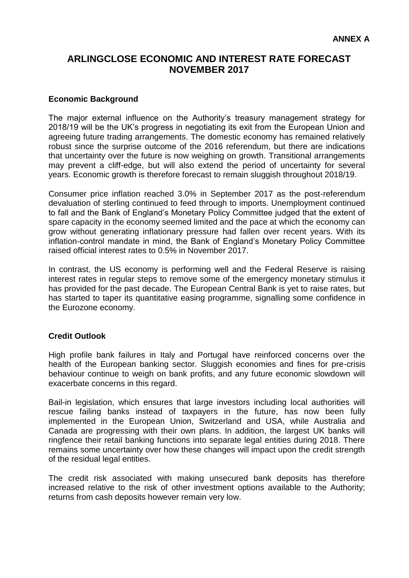## **ARLINGCLOSE ECONOMIC AND INTEREST RATE FORECAST NOVEMBER 2017**

#### **Economic Background**

The major external influence on the Authority's treasury management strategy for 2018/19 will be the UK's progress in negotiating its exit from the European Union and agreeing future trading arrangements. The domestic economy has remained relatively robust since the surprise outcome of the 2016 referendum, but there are indications that uncertainty over the future is now weighing on growth. Transitional arrangements may prevent a cliff-edge, but will also extend the period of uncertainty for several years. Economic growth is therefore forecast to remain sluggish throughout 2018/19.

Consumer price inflation reached 3.0% in September 2017 as the post-referendum devaluation of sterling continued to feed through to imports. Unemployment continued to fall and the Bank of England's Monetary Policy Committee judged that the extent of spare capacity in the economy seemed limited and the pace at which the economy can grow without generating inflationary pressure had fallen over recent years. With its inflation-control mandate in mind, the Bank of England's Monetary Policy Committee raised official interest rates to 0.5% in November 2017.

In contrast, the US economy is performing well and the Federal Reserve is raising interest rates in regular steps to remove some of the emergency monetary stimulus it has provided for the past decade. The European Central Bank is yet to raise rates, but has started to taper its quantitative easing programme, signalling some confidence in the Eurozone economy.

#### **Credit Outlook**

High profile bank failures in Italy and Portugal have reinforced concerns over the health of the European banking sector. Sluggish economies and fines for pre-crisis behaviour continue to weigh on bank profits, and any future economic slowdown will exacerbate concerns in this regard.

Bail-in legislation, which ensures that large investors including local authorities will rescue failing banks instead of taxpayers in the future, has now been fully implemented in the European Union, Switzerland and USA, while Australia and Canada are progressing with their own plans. In addition, the largest UK banks will ringfence their retail banking functions into separate legal entities during 2018. There remains some uncertainty over how these changes will impact upon the credit strength of the residual legal entities.

The credit risk associated with making unsecured bank deposits has therefore increased relative to the risk of other investment options available to the Authority; returns from cash deposits however remain very low.